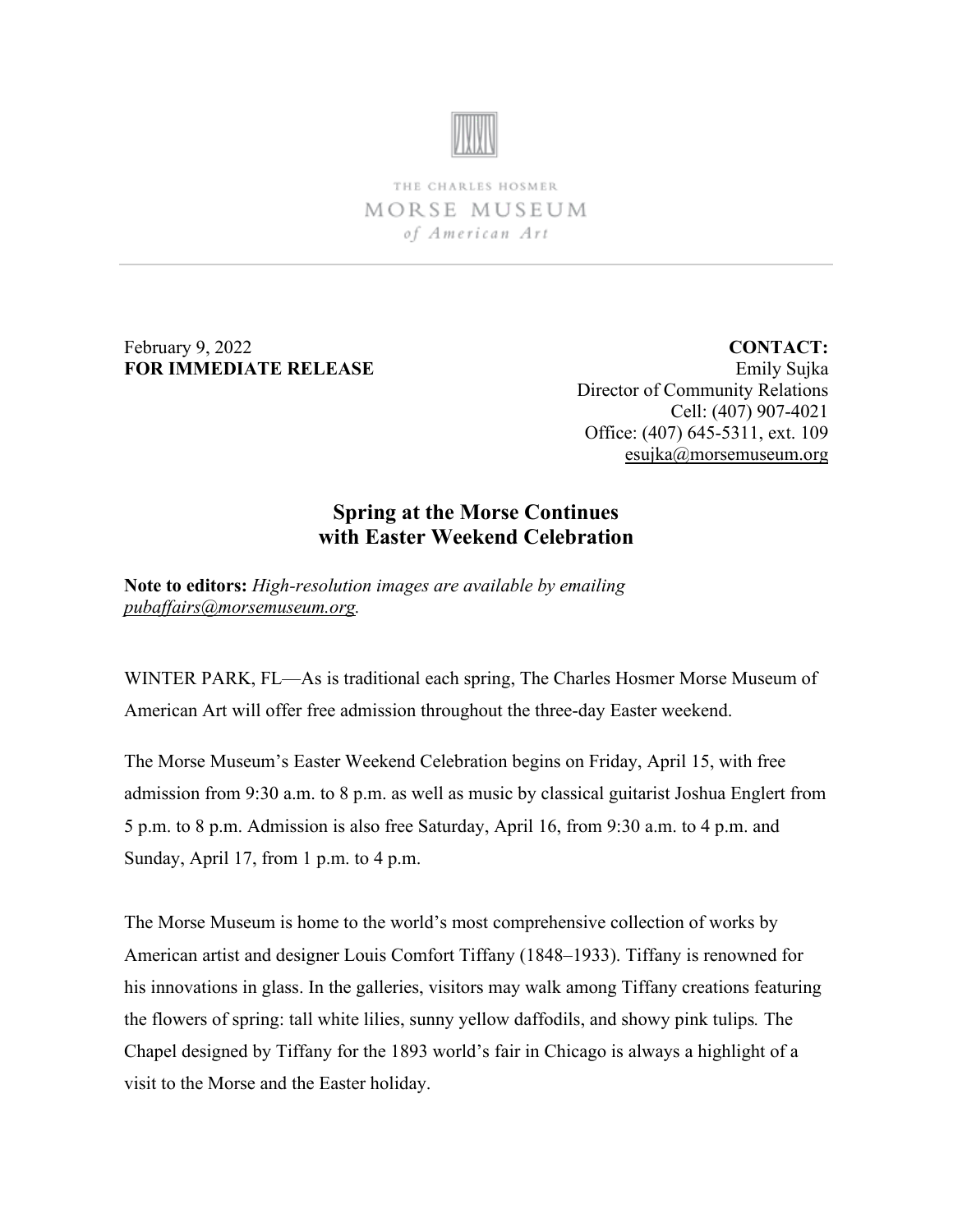

THE CHARLES HOSMER MORSE MUSEUM of American Art

February 9, 2022 **FOR IMMEDIATE RELEASE**

**CONTACT:** Emily Sujka Director of Community Relations Cell: (407) 907-4021 Office: (407) 645-5311, ext. 109 [esujka@morsemuseum.org](mailto:esujka@morsemuseum.org)

## **Spring at the Morse Continues with Easter Weekend Celebration**

**Note to editors:** *High-resolution images are available by emailing [pubaffairs@morsemuseum.org.](mailto:pubaffairs@morsemuseum.org)*

WINTER PARK, FL—As is traditional each spring, The Charles Hosmer Morse Museum of American Art will offer free admission throughout the three-day Easter weekend.

The Morse Museum's Easter Weekend Celebration begins on Friday, April 15, with free admission from 9:30 a.m. to 8 p.m. as well as music by classical guitarist Joshua Englert from 5 p.m. to 8 p.m. Admission is also free Saturday, April 16, from 9:30 a.m. to 4 p.m. and Sunday, April 17, from 1 p.m. to 4 p.m.

The Morse Museum is home to the world's most comprehensive collection of works by American artist and designer Louis Comfort Tiffany (1848–1933). Tiffany is renowned for his innovations in glass. In the galleries, visitors may walk among Tiffany creations featuring the flowers of spring: tall white lilies, sunny yellow daffodils, and showy pink tulips*.* The Chapel designed by Tiffany for the 1893 world's fair in Chicago is always a highlight of a visit to the Morse and the Easter holiday.